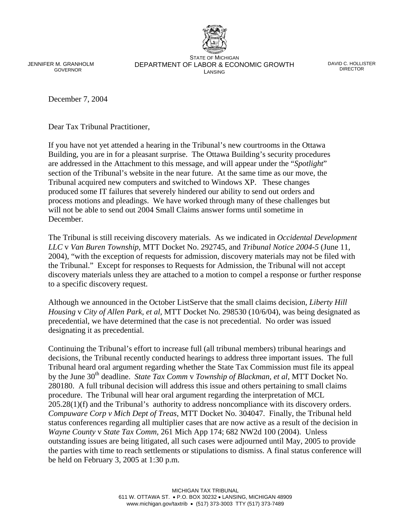JENNIFER M. GRANHOLM GOVERNOR

STATE OF MICHIGAN DEPARTMENT OF LABOR & ECONOMIC GROWTH LANSING

DAVID C. HOLLISTER DIRECTOR

December 7, 2004

Dear Tax Tribunal Practitioner,

If you have not yet attended a hearing in the Tribunal's new courtrooms in the Ottawa Building, you are in for a pleasant surprise. The Ottawa Building's security procedures are addressed in the Attachment to this message, and will appear under the "*Spotlight*" section of the Tribunal's website in the near future. At the same time as our move, the Tribunal acquired new computers and switched to Windows XP. These changes produced some IT failures that severely hindered our ability to send out orders and process motions and pleadings. We have worked through many of these challenges but will not be able to send out 2004 Small Claims answer forms until sometime in **December** 

The Tribunal is still receiving discovery materials. As we indicated in *Occidental Development LLC* v *Van Buren Township*, MTT Docket No. 292745, and *Tribunal Notice 2004-5* (June 11, 2004), "with the exception of requests for admission, discovery materials may not be filed with the Tribunal." Except for responses to Requests for Admission, the Tribunal will not accept discovery materials unless they are attached to a motion to compel a response or further response to a specific discovery request.

Although we announced in the October ListServe that the small claims decision, *Liberty Hill Housing* v *City of Allen Park, et al,* MTT Docket No. 298530 (10/6/04), was being designated as precedential, we have determined that the case is not precedential. No order was issued designating it as precedential.

Continuing the Tribunal's effort to increase full (all tribunal members) tribunal hearings and decisions, the Tribunal recently conducted hearings to address three important issues. The full Tribunal heard oral argument regarding whether the State Tax Commission must file its appeal by the June 30<sup>th</sup> deadline. *State Tax Comm v Township of Blackman, et al, MTT Docket No.* 280180. A full tribunal decision will address this issue and others pertaining to small claims procedure. The Tribunal will hear oral argument regarding the interpretation of MCL 205.28(1)(f) and the Tribunal's authority to address noncompliance with its discovery orders. *Compuware Corp v Mich Dept of Treas*, MTT Docket No. 304047. Finally, the Tribunal held status conferences regarding all multiplier cases that are now active as a result of the decision in *Wayne County* v *State Tax Comm,* 261 Mich App 174; 682 NW2d 100 (2004). Unless outstanding issues are being litigated, all such cases were adjourned until May, 2005 to provide the parties with time to reach settlements or stipulations to dismiss. A final status conference will be held on February 3, 2005 at 1:30 p.m.